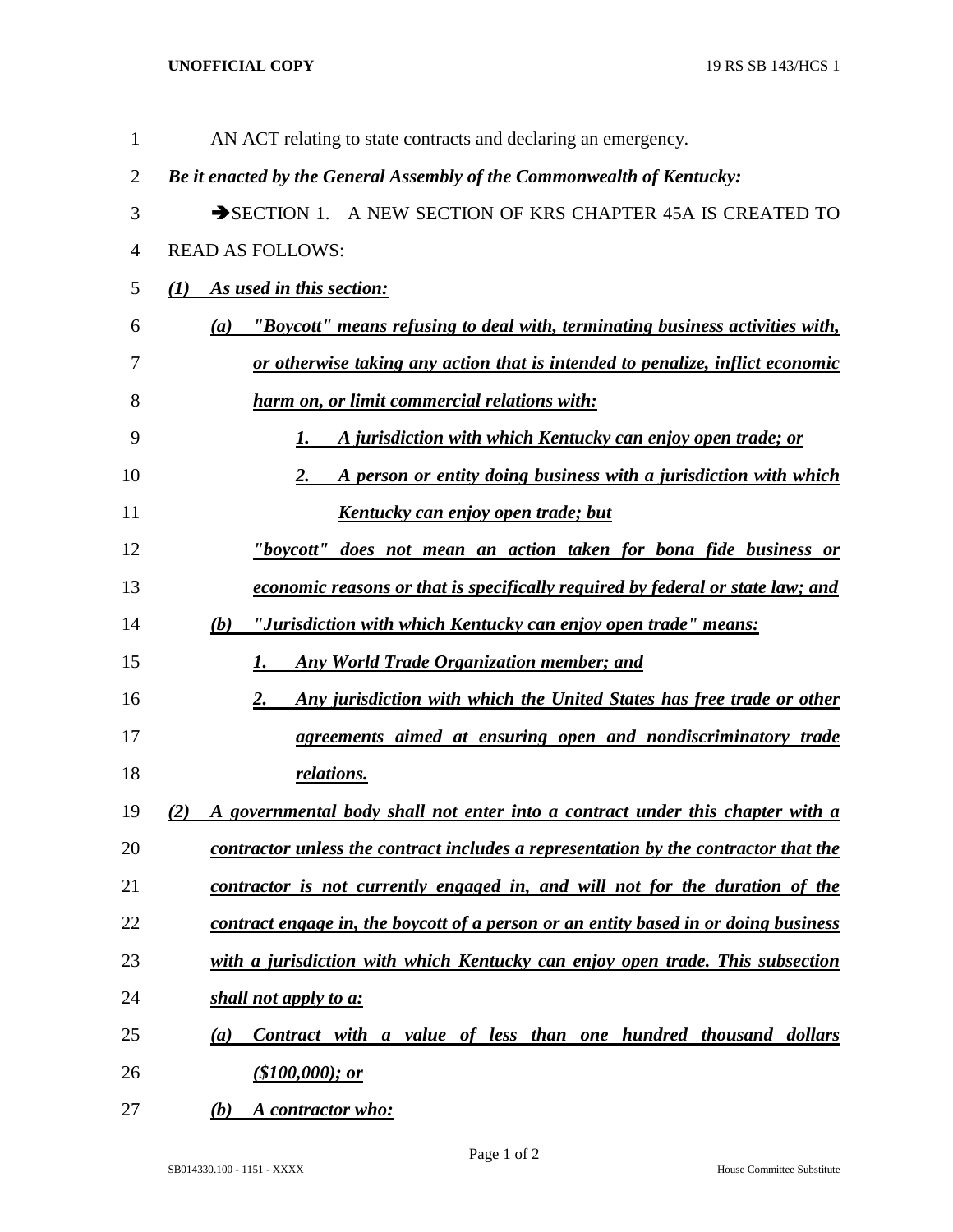## **UNOFFICIAL COPY** 19 RS SB 143/HCS 1

| 1              | AN ACT relating to state contracts and declaring an emergency.                       |
|----------------|--------------------------------------------------------------------------------------|
| $\overline{2}$ | Be it enacted by the General Assembly of the Commonwealth of Kentucky:               |
| 3              | SECTION 1. A NEW SECTION OF KRS CHAPTER 45A IS CREATED TO                            |
| 4              | <b>READ AS FOLLOWS:</b>                                                              |
| 5              | As used in this section:<br>$\mathcal{L}(I)$                                         |
| 6              | "Boycott" means refusing to deal with, terminating business activities with,<br>(a)  |
| 7              | or otherwise taking any action that is intended to penalize, inflict economic        |
| 8              | harm on, or limit commercial relations with:                                         |
| 9              | A jurisdiction with which Kentucky can enjoy open trade; or<br>1.                    |
| 10             | A person or entity doing business with a jurisdiction with which<br>2.               |
| 11             | Kentucky can enjoy open trade; but                                                   |
| 12             | <u>"boycott" does not mean an action taken for bona fide business or</u>             |
| 13             | economic reasons or that is specifically required by federal or state law; and       |
| 14             | "Jurisdiction with which Kentucky can enjoy open trade" means:<br>(b)                |
| 15             | <b>Any World Trade Organization member; and</b><br>1.                                |
| 16             | 2.<br>Any jurisdiction with which the United States has free trade or other          |
| 17             | agreements aimed at ensuring open and nondiscriminatory trade                        |
| 18             | relations.                                                                           |
| 19             | A governmental body shall not enter into a contract under this chapter with a<br>(2) |
| 20             | contractor unless the contract includes a representation by the contractor that the  |
| 21             | contractor is not currently engaged in, and will not for the duration of the         |
| 22             | contract engage in, the boycott of a person or an entity based in or doing business  |
| 23             | with a jurisdiction with which Kentucky can enjoy open trade. This subsection        |
| 24             | shall not apply to a:                                                                |
| 25             | Contract with a value of less than one hundred thousand dollars<br>(a)               |
| 26             | (\$100,000); or                                                                      |
| 27             | A contractor who:<br>(b)                                                             |

SB014330.100 - 1151 - XXXX House Committee Substitute